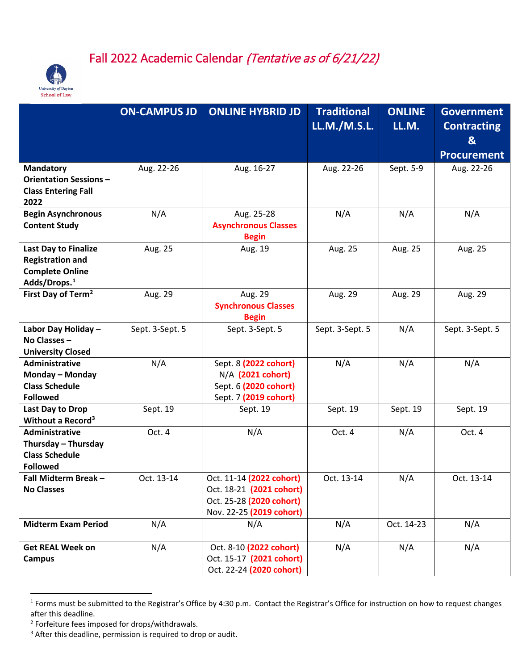



|                                                                                                              | <b>ON-CAMPUS JD</b> | <b>ONLINE HYBRID JD</b>                                                                                      | <b>Traditional</b> | <b>ONLINE</b> | <b>Government</b>       |
|--------------------------------------------------------------------------------------------------------------|---------------------|--------------------------------------------------------------------------------------------------------------|--------------------|---------------|-------------------------|
|                                                                                                              |                     |                                                                                                              | LL.M./M.S.L.       | LL.M.         | <b>Contracting</b><br>& |
|                                                                                                              |                     |                                                                                                              |                    |               | <b>Procurement</b>      |
| <b>Mandatory</b><br><b>Orientation Sessions -</b><br><b>Class Entering Fall</b><br>2022                      | Aug. 22-26          | Aug. 16-27                                                                                                   | Aug. 22-26         | Sept. 5-9     | Aug. 22-26              |
| <b>Begin Asynchronous</b><br><b>Content Study</b>                                                            | N/A                 | Aug. 25-28<br><b>Asynchronous Classes</b><br><b>Begin</b>                                                    | N/A                | N/A           | N/A                     |
| <b>Last Day to Finalize</b><br><b>Registration and</b><br><b>Complete Online</b><br>Adds/Drops. <sup>1</sup> | Aug. 25             | Aug. 19                                                                                                      | Aug. 25            | Aug. 25       | Aug. 25                 |
| First Day of Term <sup>2</sup>                                                                               | Aug. 29             | Aug. 29<br><b>Synchronous Classes</b><br><b>Begin</b>                                                        | Aug. 29            | Aug. 29       | Aug. 29                 |
| Labor Day Holiday -<br>No Classes -<br><b>University Closed</b>                                              | Sept. 3-Sept. 5     | Sept. 3-Sept. 5                                                                                              | Sept. 3-Sept. 5    | N/A           | Sept. 3-Sept. 5         |
| <b>Administrative</b><br>Monday - Monday<br><b>Class Schedule</b><br><b>Followed</b>                         | N/A                 | Sept. 8 (2022 cohort)<br>N/A (2021 cohort)<br>Sept. 6 (2020 cohort)<br>Sept. 7 (2019 cohort)                 | N/A                | N/A           | N/A                     |
| Last Day to Drop<br>Without a Record <sup>3</sup>                                                            | Sept. 19            | Sept. 19                                                                                                     | Sept. 19           | Sept. 19      | Sept. 19                |
| <b>Administrative</b><br>Thursday - Thursday<br><b>Class Schedule</b><br><b>Followed</b>                     | Oct. 4              | N/A                                                                                                          | Oct. 4             | N/A           | Oct. 4                  |
| Fall Midterm Break-<br><b>No Classes</b>                                                                     | Oct. 13-14          | Oct. 11-14 (2022 cohort)<br>Oct. 18-21 (2021 cohort)<br>Oct. 25-28 (2020 cohort)<br>Nov. 22-25 (2019 cohort) | Oct. 13-14         | N/A           | Oct. 13-14              |
| <b>Midterm Exam Period</b>                                                                                   | N/A                 | N/A                                                                                                          | N/A                | Oct. 14-23    | N/A                     |
| <b>Get REAL Week on</b><br><b>Campus</b>                                                                     | N/A                 | Oct. 8-10 (2022 cohort)<br>Oct. 15-17 (2021 cohort)<br>Oct. 22-24 (2020 cohort)                              | N/A                | N/A           | N/A                     |

<span id="page-0-0"></span><sup>&</sup>lt;sup>1</sup> Forms must be submitted to the Registrar's Office by 4:30 p.m. Contact the Registrar's Office for instruction on how to request changes after this deadline.

<span id="page-0-1"></span><sup>2</sup> Forfeiture fees imposed for drops/withdrawals.

<span id="page-0-2"></span><sup>&</sup>lt;sup>3</sup> After this deadline, permission is required to drop or audit.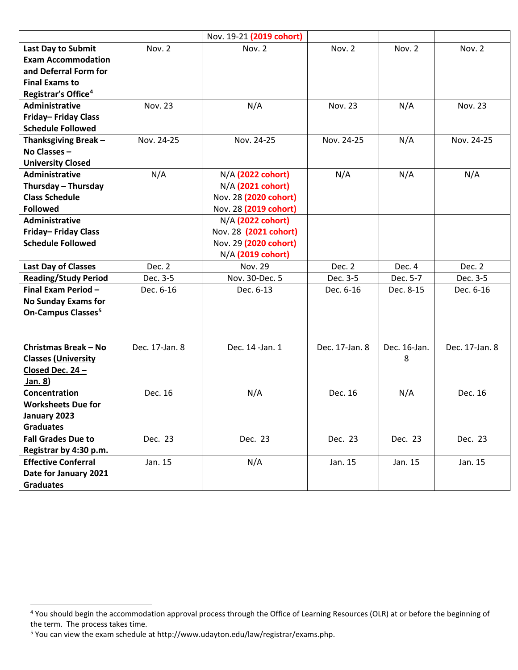|                                           |                | Nov. 19-21 (2019 cohort) |                |              |                |
|-------------------------------------------|----------------|--------------------------|----------------|--------------|----------------|
| Last Day to Submit                        | Nov. 2         | Nov. 2                   | Nov. 2         | Nov. 2       | Nov. 2         |
| <b>Exam Accommodation</b>                 |                |                          |                |              |                |
| and Deferral Form for                     |                |                          |                |              |                |
| <b>Final Exams to</b>                     |                |                          |                |              |                |
| Registrar's Office <sup>4</sup>           |                |                          |                |              |                |
| <b>Administrative</b>                     | <b>Nov. 23</b> | N/A                      | <b>Nov. 23</b> | N/A          | <b>Nov. 23</b> |
| Friday-Friday Class                       |                |                          |                |              |                |
| <b>Schedule Followed</b>                  |                |                          |                |              |                |
| Thanksgiving Break-                       | Nov. 24-25     | Nov. 24-25               | Nov. 24-25     | N/A          | Nov. 24-25     |
| No Classes -                              |                |                          |                |              |                |
| <b>University Closed</b>                  |                |                          |                |              |                |
| <b>Administrative</b>                     | N/A            | N/A (2022 cohort)        | N/A            | N/A          | N/A            |
| Thursday - Thursday                       |                | N/A (2021 cohort)        |                |              |                |
| <b>Class Schedule</b>                     |                | Nov. 28 (2020 cohort)    |                |              |                |
| <b>Followed</b>                           |                | Nov. 28 (2019 cohort)    |                |              |                |
| <b>Administrative</b>                     |                | N/A (2022 cohort)        |                |              |                |
| Friday-Friday Class                       |                | Nov. 28 (2021 cohort)    |                |              |                |
| <b>Schedule Followed</b>                  |                | Nov. 29 (2020 cohort)    |                |              |                |
|                                           |                | N/A (2019 cohort)        |                |              |                |
| <b>Last Day of Classes</b>                | Dec. 2         | Nov. 29                  | Dec. 2         | Dec. 4       | Dec. 2         |
| <b>Reading/Study Period</b>               | Dec. 3-5       | Nov. 30-Dec. 5           | Dec. 3-5       | Dec. 5-7     | Dec. 3-5       |
| Final Exam Period-                        | Dec. 6-16      | Dec. 6-13                | Dec. 6-16      | Dec. 8-15    | Dec. 6-16      |
| <b>No Sunday Exams for</b>                |                |                          |                |              |                |
| On-Campus Classes <sup>5</sup>            |                |                          |                |              |                |
|                                           |                |                          |                |              |                |
|                                           |                |                          |                |              |                |
| <b>Christmas Break - No</b>               | Dec. 17-Jan. 8 | Dec. 14 - Jan. 1         | Dec. 17-Jan. 8 | Dec. 16-Jan. | Dec. 17-Jan. 8 |
| <b>Classes (University</b>                |                |                          |                | 8            |                |
| Closed Dec. 24 -                          |                |                          |                |              |                |
| Jan. 8)                                   |                |                          |                |              |                |
| Concentration                             | Dec. 16        | N/A                      | Dec. 16        | N/A          | Dec. 16        |
| <b>Worksheets Due for</b>                 |                |                          |                |              |                |
| January 2023                              |                |                          |                |              |                |
| <b>Graduates</b>                          |                |                          |                |              |                |
| <b>Fall Grades Due to</b>                 | Dec. 23        | Dec. 23                  | Dec. 23        | Dec. 23      | Dec. 23        |
| Registrar by 4:30 p.m.                    |                |                          |                |              |                |
| <b>Effective Conferral</b>                | Jan. 15        | N/A                      | Jan. 15        | Jan. 15      | Jan. 15        |
|                                           |                |                          |                |              |                |
| Date for January 2021<br><b>Graduates</b> |                |                          |                |              |                |

<span id="page-1-0"></span> <sup>4</sup> You should begin the accommodation approval process through the Office of Learning Resources (OLR) at or before the beginning of the term. The process takes time.

<span id="page-1-1"></span><sup>5</sup> You can view the exam schedule at http://www.udayton.edu/law/registrar/exams.php.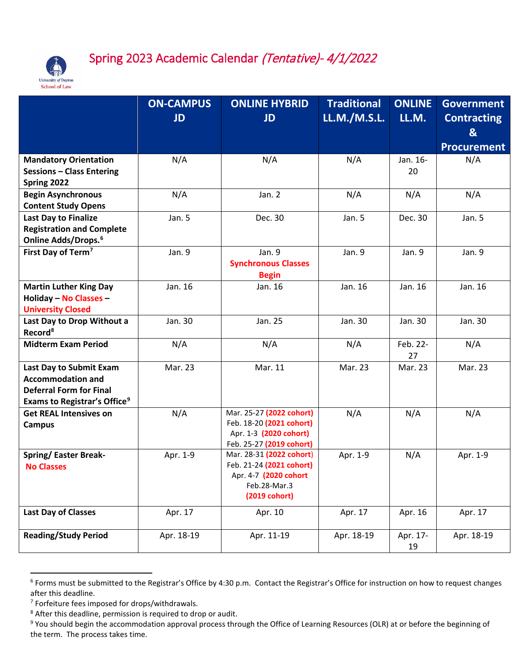

## Spring 2023 Academic Calendar (Tentative)- 4/1/2022

|                                                                                                                                                | <b>ON-CAMPUS</b><br><b>JD</b> | <b>ONLINE HYBRID</b><br><b>JD</b>                                                                              | <b>Traditional</b><br><b>LL.M./M.S.L.</b> | <b>ONLINE</b><br>LL.M. | <b>Government</b><br><b>Contracting</b><br>&<br><b>Procurement</b> |
|------------------------------------------------------------------------------------------------------------------------------------------------|-------------------------------|----------------------------------------------------------------------------------------------------------------|-------------------------------------------|------------------------|--------------------------------------------------------------------|
| <b>Mandatory Orientation</b><br><b>Sessions - Class Entering</b><br>Spring 2022                                                                | N/A                           | N/A                                                                                                            | N/A                                       | Jan. 16-<br>20         | N/A                                                                |
| <b>Begin Asynchronous</b><br><b>Content Study Opens</b>                                                                                        | N/A                           | Jan. 2                                                                                                         | N/A                                       | N/A                    | N/A                                                                |
| <b>Last Day to Finalize</b><br><b>Registration and Complete</b><br>Online Adds/Drops. <sup>6</sup>                                             | Jan. 5                        | Dec. 30                                                                                                        | Jan. 5                                    | Dec. 30                | Jan. 5                                                             |
| First Day of Term <sup>7</sup>                                                                                                                 | Jan. 9                        | Jan. 9<br><b>Synchronous Classes</b><br><b>Begin</b>                                                           | Jan. 9                                    | Jan. 9                 | Jan. 9                                                             |
| <b>Martin Luther King Day</b><br>Holiday - No Classes -<br><b>University Closed</b>                                                            | Jan. 16                       | Jan. 16                                                                                                        | Jan. 16                                   | Jan. 16                | Jan. 16                                                            |
| Last Day to Drop Without a<br>Record <sup>8</sup>                                                                                              | Jan. 30                       | Jan. 25                                                                                                        | Jan. 30                                   | Jan. 30                | Jan. 30                                                            |
| <b>Midterm Exam Period</b>                                                                                                                     | N/A                           | N/A                                                                                                            | N/A                                       | Feb. 22-<br>27         | N/A                                                                |
| <b>Last Day to Submit Exam</b><br><b>Accommodation and</b><br><b>Deferral Form for Final</b><br><b>Exams to Registrar's Office<sup>9</sup></b> | Mar. 23                       | Mar. 11                                                                                                        | Mar. 23                                   | Mar. 23                | Mar. 23                                                            |
| <b>Get REAL Intensives on</b><br><b>Campus</b>                                                                                                 | N/A                           | Mar. 25-27 (2022 cohort)<br>Feb. 18-20 (2021 cohort)<br>Apr. 1-3 (2020 cohort)<br>Feb. 25-27 (2019 cohort)     | N/A                                       | N/A                    | N/A                                                                |
| <b>Spring/Easter Break-</b><br><b>No Classes</b>                                                                                               | Apr. 1-9                      | Mar. 28-31 (2022 cohort)<br>Feb. 21-24 (2021 cohort)<br>Apr. 4-7 (2020 cohort<br>Feb.28-Mar.3<br>(2019 cohort) | Apr. 1-9                                  | N/A                    | Apr. 1-9                                                           |
| <b>Last Day of Classes</b>                                                                                                                     | Apr. 17                       | Apr. 10                                                                                                        | Apr. 17                                   | Apr. 16                | Apr. 17                                                            |
| <b>Reading/Study Period</b>                                                                                                                    | Apr. 18-19                    | Apr. 11-19                                                                                                     | Apr. 18-19                                | Apr. 17-<br>19         | Apr. 18-19                                                         |

<span id="page-2-0"></span> <sup>6</sup> Forms must be submitted to the Registrar's Office by 4:30 p.m. Contact the Registrar's Office for instruction on how to request changes after this deadline.

<span id="page-2-1"></span><sup>7</sup> Forfeiture fees imposed for drops/withdrawals.

<span id="page-2-2"></span><sup>8</sup> After this deadline, permission is required to drop or audit.

<span id="page-2-3"></span><sup>&</sup>lt;sup>9</sup> You should begin the accommodation approval process through the Office of Learning Resources (OLR) at or before the beginning of the term. The process takes time.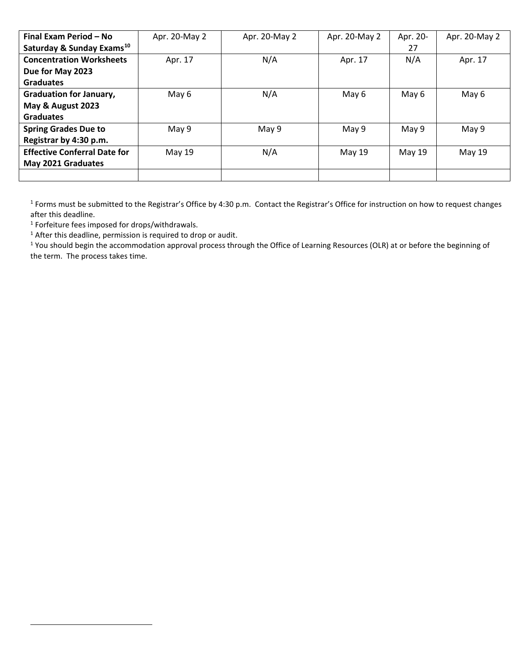| Final Exam Period - No                | Apr. 20-May 2 | Apr. 20-May 2 | Apr. 20-May 2 | Apr. 20- | Apr. 20-May 2 |
|---------------------------------------|---------------|---------------|---------------|----------|---------------|
| Saturday & Sunday Exams <sup>10</sup> |               |               |               | 27       |               |
| <b>Concentration Worksheets</b>       | Apr. 17       | N/A           | Apr. 17       | N/A      | Apr. 17       |
| Due for May 2023                      |               |               |               |          |               |
| <b>Graduates</b>                      |               |               |               |          |               |
| <b>Graduation for January,</b>        | May 6         | N/A           | May 6         | May 6    | May 6         |
| May & August 2023                     |               |               |               |          |               |
| <b>Graduates</b>                      |               |               |               |          |               |
| <b>Spring Grades Due to</b>           | May 9         | May 9         | May 9         | May 9    | May 9         |
| Registrar by 4:30 p.m.                |               |               |               |          |               |
| <b>Effective Conferral Date for</b>   | May 19        | N/A           | May 19        | May 19   | May 19        |
| May 2021 Graduates                    |               |               |               |          |               |
|                                       |               |               |               |          |               |

<sup>1</sup> Forms must be submitted to the Registrar's Office by 4:30 p.m. Contact the Registrar's Office for instruction on how to request changes after this deadline.

<sup>1</sup> Forfeiture fees imposed for drops/withdrawals.

<span id="page-3-0"></span>l

<sup>1</sup> After this deadline, permission is required to drop or audit.

<sup>1</sup> You should begin the accommodation approval process through the Office of Learning Resources (OLR) at or before the beginning of the term. The process takes time.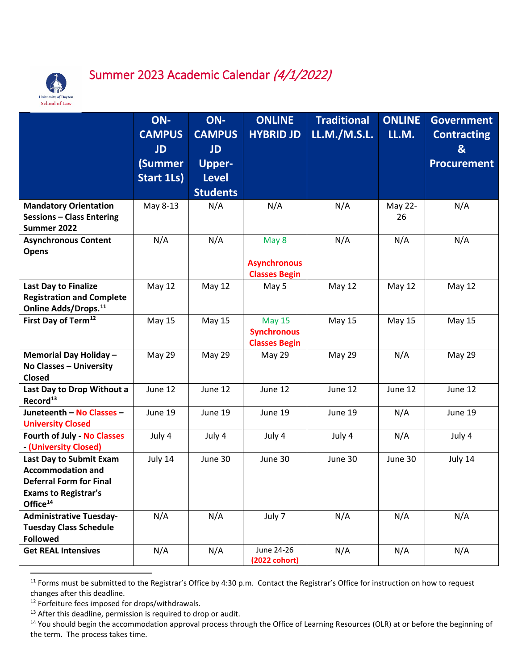

## Summer 2023 Academic Calendar (4/1/2022)

|                                    | ON-               | ON-             | <b>ONLINE</b>        | <b>Traditional</b> | <b>ONLINE</b> | <b>Government</b>  |
|------------------------------------|-------------------|-----------------|----------------------|--------------------|---------------|--------------------|
|                                    | <b>CAMPUS</b>     | <b>CAMPUS</b>   | <b>HYBRID JD</b>     | LL.M./M.S.L.       | LL.M.         | <b>Contracting</b> |
|                                    | <b>JD</b>         | <b>JD</b>       |                      |                    |               | &                  |
|                                    | (Summer           | <b>Upper-</b>   |                      |                    |               | <b>Procurement</b> |
|                                    | <b>Start 1Ls)</b> | <b>Level</b>    |                      |                    |               |                    |
|                                    |                   |                 |                      |                    |               |                    |
|                                    |                   | <b>Students</b> |                      |                    |               |                    |
| <b>Mandatory Orientation</b>       | May 8-13          | N/A             | N/A                  | N/A                | May 22-       | N/A                |
| <b>Sessions - Class Entering</b>   |                   |                 |                      |                    | 26            |                    |
| Summer 2022                        |                   |                 |                      |                    |               |                    |
| <b>Asynchronous Content</b>        | N/A               | N/A             | May 8                | N/A                | N/A           | N/A                |
| <b>Opens</b>                       |                   |                 |                      |                    |               |                    |
|                                    |                   |                 | <b>Asynchronous</b>  |                    |               |                    |
|                                    |                   |                 | <b>Classes Begin</b> |                    |               |                    |
| Last Day to Finalize               | <b>May 12</b>     | <b>May 12</b>   | May 5                | <b>May 12</b>      | <b>May 12</b> | <b>May 12</b>      |
| <b>Registration and Complete</b>   |                   |                 |                      |                    |               |                    |
| Online Adds/Drops. <sup>11</sup>   |                   |                 |                      |                    |               |                    |
| First Day of Term <sup>12</sup>    | <b>May 15</b>     | May 15          | <b>May 15</b>        | <b>May 15</b>      | <b>May 15</b> | <b>May 15</b>      |
|                                    |                   |                 | <b>Synchronous</b>   |                    |               |                    |
|                                    |                   |                 | <b>Classes Begin</b> |                    |               |                    |
| Memorial Day Holiday -             | <b>May 29</b>     | <b>May 29</b>   | May 29               | May 29             | N/A           | <b>May 29</b>      |
| No Classes - University            |                   |                 |                      |                    |               |                    |
| <b>Closed</b>                      |                   |                 |                      |                    |               |                    |
| Last Day to Drop Without a         | June 12           | June 12         | June 12              | June 12            | June 12       | June 12            |
| Record <sup>13</sup>               |                   |                 |                      |                    |               |                    |
| Juneteenth - No Classes -          | June 19           | June 19         | June 19              | June 19            | N/A           | June 19            |
| <b>University Closed</b>           |                   |                 |                      |                    |               |                    |
| <b>Fourth of July - No Classes</b> | July 4            | July 4          | July 4               | July 4             | N/A           | July 4             |
| - (University Closed)              |                   |                 |                      |                    |               |                    |
| Last Day to Submit Exam            | July 14           | June 30         | June 30              | June 30            | June 30       | July 14            |
| <b>Accommodation and</b>           |                   |                 |                      |                    |               |                    |
| <b>Deferral Form for Final</b>     |                   |                 |                      |                    |               |                    |
| <b>Exams to Registrar's</b>        |                   |                 |                      |                    |               |                    |
| Office <sup>14</sup>               |                   |                 |                      |                    |               |                    |
| <b>Administrative Tuesday-</b>     | N/A               | N/A             | July 7               | N/A                | N/A           | N/A                |
| <b>Tuesday Class Schedule</b>      |                   |                 |                      |                    |               |                    |
| <b>Followed</b>                    |                   |                 |                      |                    |               |                    |
| <b>Get REAL Intensives</b>         | N/A               | N/A             | June 24-26           | N/A                | N/A           | N/A                |
|                                    |                   |                 | (2022 cohort)        |                    |               |                    |

<span id="page-4-0"></span><sup>&</sup>lt;sup>11</sup> Forms must be submitted to the Registrar's Office by 4:30 p.m. Contact the Registrar's Office for instruction on how to request changes after this deadline.

<span id="page-4-1"></span><sup>12</sup> Forfeiture fees imposed for drops/withdrawals.

<span id="page-4-2"></span><sup>&</sup>lt;sup>13</sup> After this deadline, permission is required to drop or audit.

<span id="page-4-3"></span><sup>&</sup>lt;sup>14</sup> You should begin the accommodation approval process through the Office of Learning Resources (OLR) at or before the beginning of the term. The process takes time.